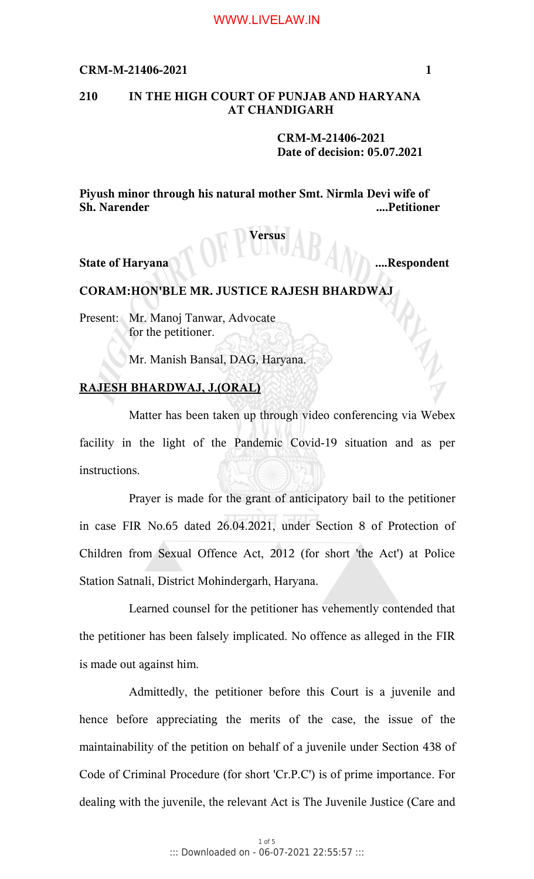# **210 IN THE HIGH COURT OF PUNJAB AND HARYANA AT CHANDIGARH**

**CRM-M-21406-2021 Date of decision: 05.07.2021**

**Piyush minor through his natural mother Smt. Nirmla Devi wife of Sh. Narender ....Petitioner**

## **Versus**

**State of Haryana ....Respondent**

## **CORAM:HON'BLE MR. JUSTICE RAJESH BHARDWAJ**

Present: Mr. Manoj Tanwar, Advocate for the petitioner.

Mr. Manish Bansal, DAG, Haryana.

## **RAJESH BHARDWAJ, J.(ORAL)**

Matter has been taken up through video conferencing via Webex facility in the light of the Pandemic Covid-19 situation and as per instructions.

Prayer is made for the grant of anticipatory bail to the petitioner in case FIR No.65 dated 26.04.2021, under Section 8 of Protection of Children from Sexual Offence Act, 2012 (for short 'the Act') at Police Station Satnali, District Mohindergarh, Haryana.

Learned counsel for the petitioner has vehemently contended that the petitioner has been falsely implicated. No offence as alleged in the FIR is made out against him.

Admittedly, the petitioner before this Court is a juvenile and hence before appreciating the merits of the case, the issue of the maintainability of the petition on behalf of a juvenile under Section 438 of Code of Criminal Procedure (for short 'Cr.P.C') is of prime importance. For dealing with the juvenile, the relevant Act is The Juvenile Justice (Care and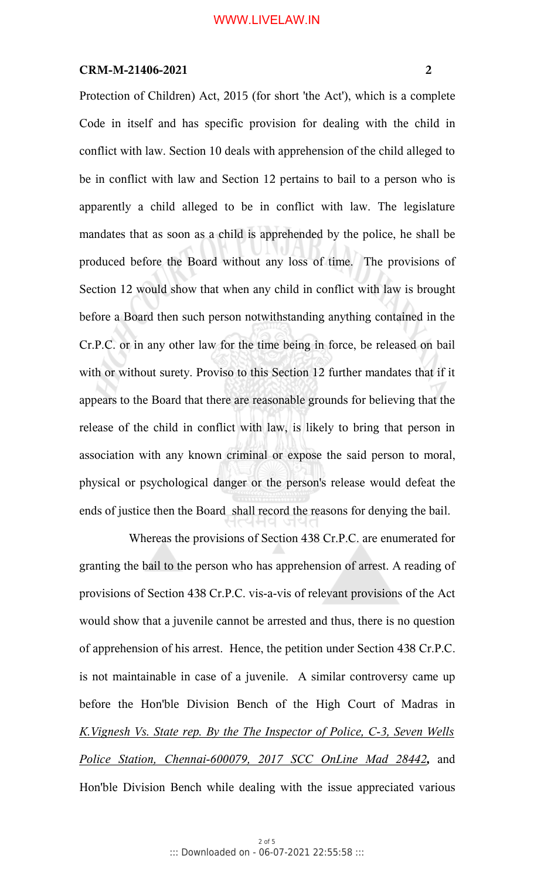Protection of Children) Act, 2015 (for short 'the Act'), which is a complete Code in itself and has specific provision for dealing with the child in conflict with law. Section 10 deals with apprehension of the child alleged to be in conflict with law and Section 12 pertains to bail to a person who is apparently a child alleged to be in conflict with law. The legislature mandates that as soon as a child is apprehended by the police, he shall be produced before the Board without any loss of time. The provisions of Section 12 would show that when any child in conflict with law is brought before a Board then such person notwithstanding anything contained in the Cr.P.C. or in any other law for the time being in force, be released on bail with or without surety. Proviso to this Section 12 further mandates that if it appears to the Board that there are reasonable grounds for believing that the release of the child in conflict with law, is likely to bring that person in association with any known criminal or expose the said person to moral, physical or psychological danger or the person's release would defeat the ends of justice then the Board shall record the reasons for denying the bail.

Whereas the provisions of Section 438 Cr.P.C. are enumerated for granting the bail to the person who has apprehension of arrest. A reading of provisions of Section 438 Cr.P.C. vis-a-vis of relevant provisions of the Act would show that a juvenile cannot be arrested and thus, there is no question of apprehension of his arrest. Hence, the petition under Section 438 Cr.P.C. is not maintainable in case of a juvenile. A similar controversy came up before the Hon'ble Division Bench of the High Court of Madras in *K.Vignesh Vs. State rep. By the The Inspector of Police, C-3, Seven Wells Police Station, Chennai-600079, 2017 SCC OnLine Mad 28442,* and Hon'ble Division Bench while dealing with the issue appreciated various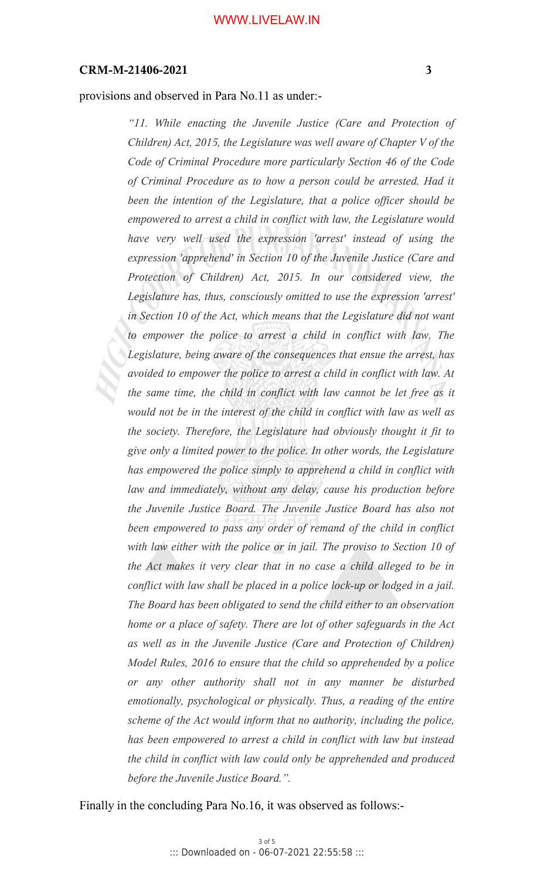#### provisions and observed in Para No.11 as under:-

*"11. While enacting the Juvenile Justice (Care and Protection of Children) Act, 2015, the Legislature was well aware of Chapter V of the Code of Criminal Procedure more particularly Section 46 of the Code of Criminal Procedure as to how a person could be arrested. Had it been the intention of the Legislature, that a police officer should be empowered to arrest a child in conflict with law, the Legislature would have very well used the expression 'arrest' instead of using the expression 'apprehend' in Section 10 of the Juvenile Justice (Care and Protection of Children) Act, 2015. In our considered view, the Legislature has, thus, consciously omitted to use the expression 'arrest' in Section 10 of the Act, which means that the Legislature did not want to empower the police to arrest a child in conflict with law. The Legislature, being aware of the consequences that ensue the arrest, has avoided to empower the police to arrest a child in conflict with law. At the same time, the child in conflict with law cannot be let free as it would not be in the interest of the child in conflict with law as well as the society. Therefore, the Legislature had obviously thought it fit to give only a limited power to the police. In other words, the Legislature has empowered the police simply to apprehend a child in conflict with law and immediately, without any delay, cause his production before the Juvenile Justice Board. The Juvenile Justice Board has also not been empowered to pass any order of remand of the child in conflict with law either with the police or in jail. The proviso to Section 10 of the Act makes it very clear that in no case a child alleged to be in conflict with law shall be placed in a police lock-up or lodged in a jail. The Board has been obligated to send the child either to an observation home or a place of safety. There are lot of other safeguards in the Act as well as in the Juvenile Justice (Care and Protection of Children) Model Rules, 2016 to ensure that the child so apprehended by a police or any other authority shall not in any manner be disturbed emotionally, psychological or physically. Thus, a reading of the entire scheme of the Act would inform that no authority, including the police, has been empowered to arrest a child in conflict with law but instead the child in conflict with law could only be apprehended and produced before the Juvenile Justice Board.".*

Finally in the concluding Para No.16, it was observed as follows:-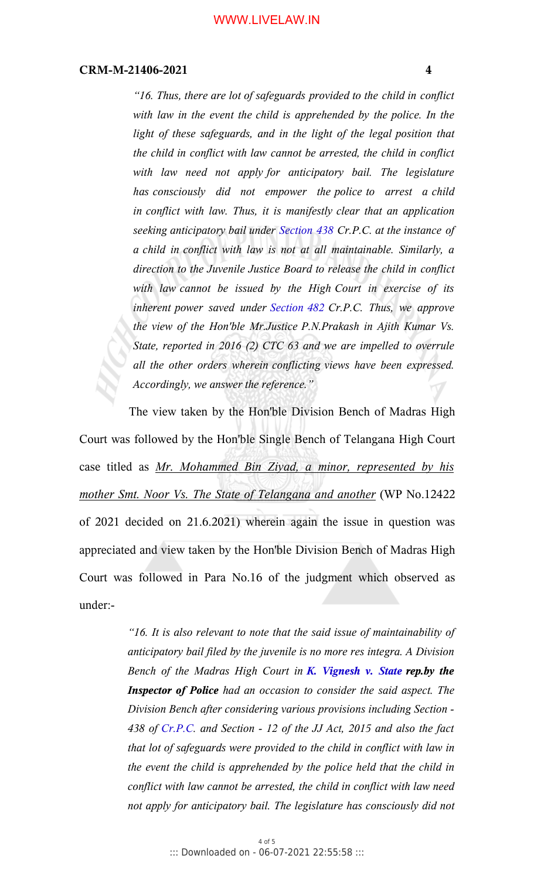*"16. Thus, there are lot of safeguards provided to the child in conflict with law in the event the child is apprehended by the police. In the light of these safeguards, and in the light of the legal position that the child in conflict with law cannot be arrested, the child in conflict with law need not apply for anticipatory bail. The legislature has consciously did not empower the police to arrest a child in conflict with law. Thus, it is manifestly clear that an application seeking anticipatory bail under Section 438 Cr.P.C. at the instance of a child in conflict with law is not at all maintainable. Similarly, a direction to the Juvenile Justice Board to release the child in conflict with law cannot be issued by the High Court in exercise of its inherent power saved under Section 482 Cr.P.C. Thus, we approve the view of the Hon'ble Mr.Justice P.N.Prakash in Ajith Kumar Vs. State, reported in 2016 (2) CTC 63 and we are impelled to overrule all the other orders wherein conflicting views have been expressed. Accordingly, we answer the reference."* 

The view taken by the Hon'ble Division Bench of Madras High Court was followed by the Hon'ble Single Bench of Telangana High Court case titled as *Mr. Mohammed Bin Ziyad, a minor, represented by his mother Smt. Noor Vs. The State of Telangana and another* (WP No.12422 of 2021 decided on 21.6.2021) wherein again the issue in question was appreciated and view taken by the Hon'ble Division Bench of Madras High Court was followed in Para No.16 of the judgment which observed as under:-

> *"16. It is also relevant to note that the said issue of maintainability of anticipatory bail filed by the juvenile is no more res integra. A Division Bench of the Madras High Court in K. Vignesh v. State rep.by the Inspector of Police had an occasion to consider the said aspect. The Division Bench after considering various provisions including Section - 438 of Cr.P.C. and Section - 12 of the JJ Act, 2015 and also the fact that lot of safeguards were provided to the child in conflict with law in the event the child is apprehended by the police held that the child in conflict with law cannot be arrested, the child in conflict with law need not apply for anticipatory bail. The legislature has consciously did not*